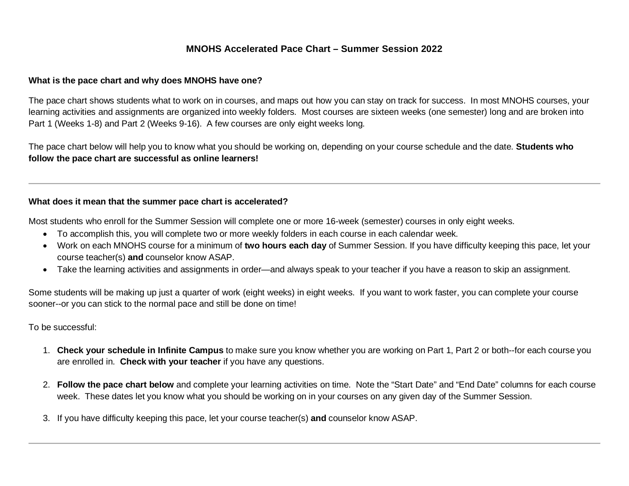## **MNOHS Accelerated Pace Chart – Summer Session 2022**

#### **What is the pace chart and why does MNOHS have one?**

The pace chart shows students what to work on in courses, and maps out how you can stay on track for success. In most MNOHS courses, your learning activities and assignments are organized into weekly folders. Most courses are sixteen weeks (one semester) long and are broken into Part 1 (Weeks 1-8) and Part 2 (Weeks 9-16). A few courses are only eight weeks long.

The pace chart below will help you to know what you should be working on, depending on your course schedule and the date. **Students who follow the pace chart are successful as online learners!**

## **What does it mean that the summer pace chart is accelerated?**

Most students who enroll for the Summer Session will complete one or more 16-week (semester) courses in only eight weeks.

- To accomplish this, you will complete two or more weekly folders in each course in each calendar week.
- Work on each MNOHS course for a minimum of **two hours each day** of Summer Session. If you have difficulty keeping this pace, let your course teacher(s) **and** counselor know ASAP.
- Take the learning activities and assignments in order—and always speak to your teacher if you have a reason to skip an assignment.

Some students will be making up just a quarter of work (eight weeks) in eight weeks. If you want to work faster, you can complete your course sooner--or you can stick to the normal pace and still be done on time!

#### To be successful:

- 1. **Check your schedule in Infinite Campus** to make sure you know whether you are working on Part 1, Part 2 or both--for each course you are enrolled in. **Check with your teacher** if you have any questions.
- 2. **Follow the pace chart below** and complete your learning activities on time. Note the "Start Date" and "End Date" columns for each course week. These dates let you know what you should be working on in your courses on any given day of the Summer Session.
- 3. If you have difficulty keeping this pace, let your course teacher(s) **and** counselor know ASAP.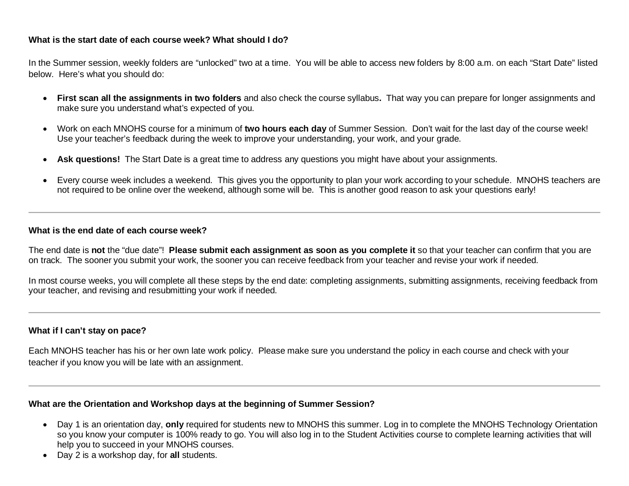## **What is the start date of each course week? What should I do?**

In the Summer session, weekly folders are "unlocked" two at a time. You will be able to access new folders by 8:00 a.m. on each "Start Date" listed below. Here's what you should do:

- **First scan all the assignments in two folders** and also check the course syllabus**.** That way you can prepare for longer assignments and make sure you understand what's expected of you.
- Work on each MNOHS course for a minimum of **two hours each day** of Summer Session. Don't wait for the last day of the course week! Use your teacher's feedback during the week to improve your understanding, your work, and your grade.
- Ask questions! The Start Date is a great time to address any questions you might have about your assignments.
- Every course week includes a weekend. This gives you the opportunity to plan your work according to your schedule. MNOHS teachers are not required to be online over the weekend, although some will be. This is another good reason to ask your questions early!

#### **What is the end date of each course week?**

The end date is **not** the "due date"! **Please submit each assignment as soon as you complete it** so that your teacher can confirm that you are on track. The sooner you submit your work, the sooner you can receive feedback from your teacher and revise your work if needed.

In most course weeks, you will complete all these steps by the end date: completing assignments, submitting assignments, receiving feedback from your teacher, and revising and resubmitting your work if needed.

### **What if I can't stay on pace?**

Each MNOHS teacher has his or her own late work policy. Please make sure you understand the policy in each course and check with your teacher if you know you will be late with an assignment.

#### **What are the Orientation and Workshop days at the beginning of Summer Session?**

- Day 1 is an orientation day, **only** required for students new to MNOHS this summer. Log in to complete the MNOHS Technology Orientation so you know your computer is 100% ready to go. You will also log in to the Student Activities course to complete learning activities that will help you to succeed in your MNOHS courses.
- Day 2 is a workshop day, for **all** students.